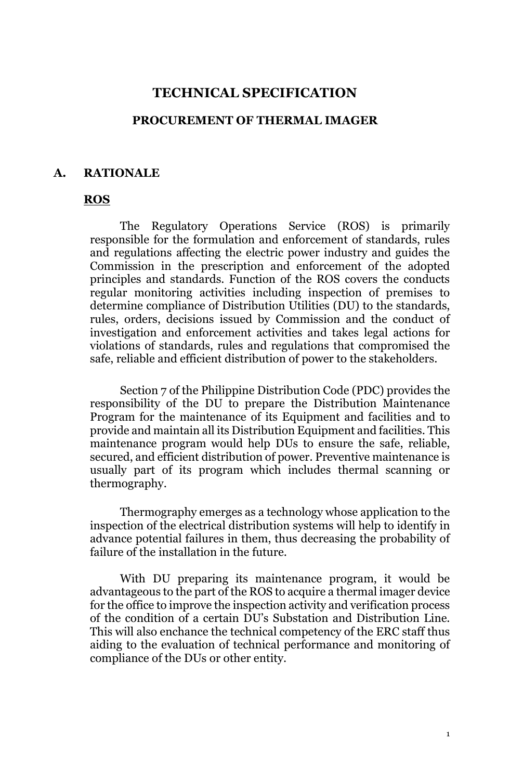#### **TECHNICAL SPECIFICATION**

#### **PROCUREMENT OF THERMAL IMAGER**

#### **A. RATIONALE**

#### **ROS**

The Regulatory Operations Service (ROS) is primarily responsible for the formulation and enforcement of standards, rules and regulations affecting the electric power industry and guides the Commission in the prescription and enforcement of the adopted principles and standards. Function of the ROS covers the conducts regular monitoring activities including inspection of premises to determine compliance of Distribution Utilities (DU) to the standards, rules, orders, decisions issued by Commission and the conduct of investigation and enforcement activities and takes legal actions for violations of standards, rules and regulations that compromised the safe, reliable and efficient distribution of power to the stakeholders.

Section 7 of the Philippine Distribution Code (PDC) provides the responsibility of the DU to prepare the Distribution Maintenance Program for the maintenance of its Equipment and facilities and to provide and maintain all its Distribution Equipment and facilities. This maintenance program would help DUs to ensure the safe, reliable, secured, and efficient distribution of power. Preventive maintenance is usually part of its program which includes thermal scanning or thermography.

Thermography emerges as a technology whose application to the inspection of the electrical distribution systems will help to identify in advance potential failures in them, thus decreasing the probability of failure of the installation in the future.

With DU preparing its maintenance program, it would be advantageous to the part of the ROS to acquire a thermal imager device for the office to improve the inspection activity and verification process of the condition of a certain DU's Substation and Distribution Line. This will also enchance the technical competency of the ERC staff thus aiding to the evaluation of technical performance and monitoring of compliance of the DUs or other entity.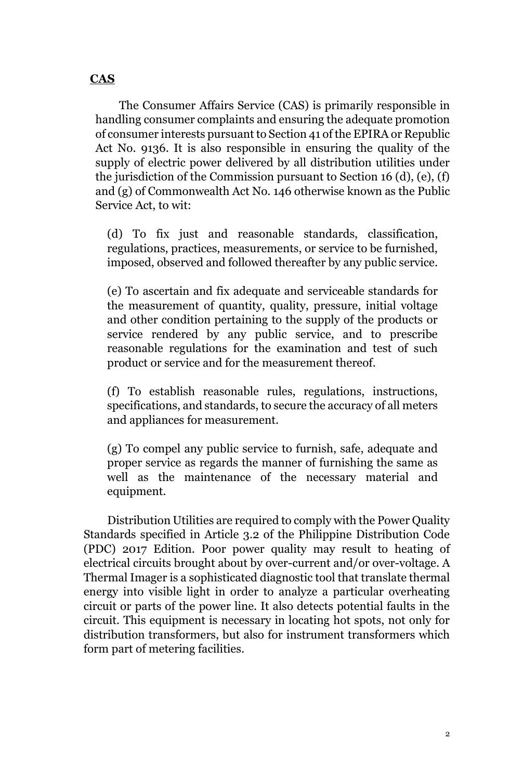# **CAS**

The Consumer Affairs Service (CAS) is primarily responsible in handling consumer complaints and ensuring the adequate promotion of consumer interests pursuant to Section 41 of the EPIRA or Republic Act No. 9136. It is also responsible in ensuring the quality of the supply of electric power delivered by all distribution utilities under the jurisdiction of the Commission pursuant to Section 16 (d), (e), (f) and (g) of Commonwealth Act No. 146 otherwise known as the Public Service Act, to wit:

(d) To fix just and reasonable standards, classification, regulations, practices, measurements, or service to be furnished, imposed, observed and followed thereafter by any public service.

(e) To ascertain and fix adequate and serviceable standards for the measurement of quantity, quality, pressure, initial voltage and other condition pertaining to the supply of the products or service rendered by any public service, and to prescribe reasonable regulations for the examination and test of such product or service and for the measurement thereof.

(f) To establish reasonable rules, regulations, instructions, specifications, and standards, to secure the accuracy of all meters and appliances for measurement.

(g) To compel any public service to furnish, safe, adequate and proper service as regards the manner of furnishing the same as well as the maintenance of the necessary material and equipment.

Distribution Utilities are required to comply with the Power Quality Standards specified in Article 3.2 of the Philippine Distribution Code (PDC) 2017 Edition. Poor power quality may result to heating of electrical circuits brought about by over-current and/or over-voltage. A Thermal Imager is a sophisticated diagnostic tool that translate thermal energy into visible light in order to analyze a particular overheating circuit or parts of the power line. It also detects potential faults in the circuit. This equipment is necessary in locating hot spots, not only for distribution transformers, but also for instrument transformers which form part of metering facilities.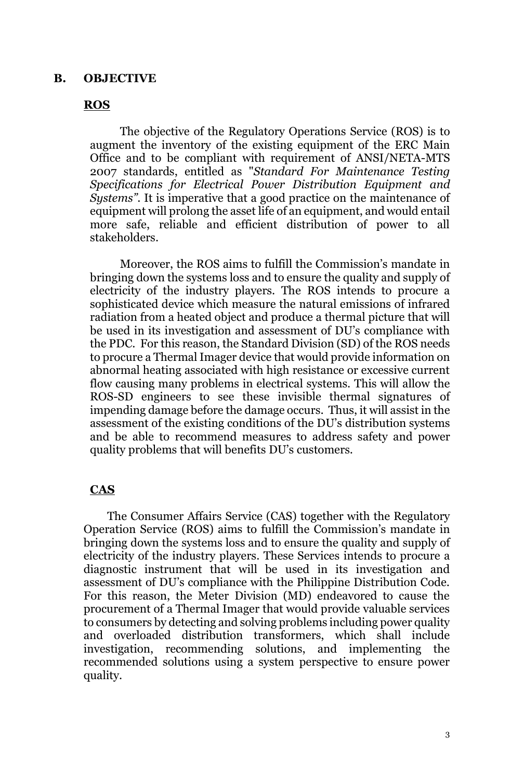#### **B. OBJECTIVE**

#### **ROS**

The objective of the Regulatory Operations Service (ROS) is to augment the inventory of the existing equipment of the ERC Main Office and to be compliant with requirement of ANSI/NETA-MTS 2007 standards, entitled as "*Standard For Maintenance Testing Specifications for Electrical Power Distribution Equipment and Systems"*. It is imperative that a good practice on the maintenance of equipment will prolong the asset life of an equipment, and would entail more safe, reliable and efficient distribution of power to all stakeholders.

Moreover, the ROS aims to fulfill the Commission's mandate in bringing down the systems loss and to ensure the quality and supply of electricity of the industry players. The ROS intends to procure a sophisticated device which measure the natural emissions of infrared radiation from a heated object and produce a thermal picture that will be used in its investigation and assessment of DU's compliance with the PDC. For this reason, the Standard Division (SD) of the ROS needs to procure a Thermal Imager device that would provide information on abnormal heating associated with high resistance or excessive current flow causing many problems in electrical systems. This will allow the ROS-SD engineers to see these invisible thermal signatures of impending damage before the damage occurs. Thus, it will assist in the assessment of the existing conditions of the DU's distribution systems and be able to recommend measures to address safety and power quality problems that will benefits DU's customers.

#### **CAS**

The Consumer Affairs Service (CAS) together with the Regulatory Operation Service (ROS) aims to fulfill the Commission's mandate in bringing down the systems loss and to ensure the quality and supply of electricity of the industry players. These Services intends to procure a diagnostic instrument that will be used in its investigation and assessment of DU's compliance with the Philippine Distribution Code. For this reason, the Meter Division (MD) endeavored to cause the procurement of a Thermal Imager that would provide valuable services to consumers by detecting and solving problems including power quality and overloaded distribution transformers, which shall include investigation, recommending solutions, and implementing the recommended solutions using a system perspective to ensure power quality.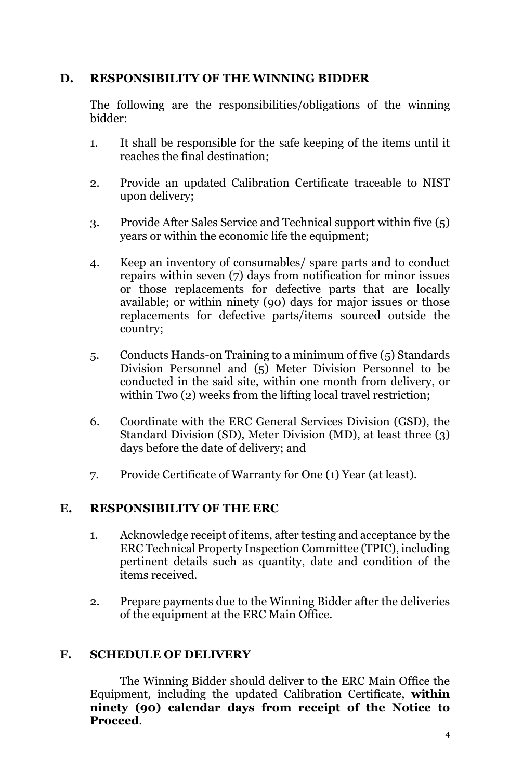## **D. RESPONSIBILITY OF THE WINNING BIDDER**

The following are the responsibilities/obligations of the winning bidder:

- 1. It shall be responsible for the safe keeping of the items until it reaches the final destination;
- 2. Provide an updated Calibration Certificate traceable to NIST upon delivery;
- 3. Provide After Sales Service and Technical support within five (5) years or within the economic life the equipment;
- 4. Keep an inventory of consumables/ spare parts and to conduct repairs within seven (7) days from notification for minor issues or those replacements for defective parts that are locally available; or within ninety (90) days for major issues or those replacements for defective parts/items sourced outside the country;
- 5. Conducts Hands-on Training to a minimum of five (5) Standards Division Personnel and (5) Meter Division Personnel to be conducted in the said site, within one month from delivery, or within Two  $(2)$  weeks from the lifting local travel restriction;
- 6. Coordinate with the ERC General Services Division (GSD), the Standard Division (SD), Meter Division (MD), at least three (3) days before the date of delivery; and
- 7. Provide Certificate of Warranty for One (1) Year (at least).

## **E. RESPONSIBILITY OF THE ERC**

- 1. Acknowledge receipt of items, after testing and acceptance by the ERC Technical Property Inspection Committee (TPIC), including pertinent details such as quantity, date and condition of the items received.
- 2. Prepare payments due to the Winning Bidder after the deliveries of the equipment at the ERC Main Office.

## **F. SCHEDULE OF DELIVERY**

The Winning Bidder should deliver to the ERC Main Office the Equipment, including the updated Calibration Certificate, **within ninety (90) calendar days from receipt of the Notice to Proceed**.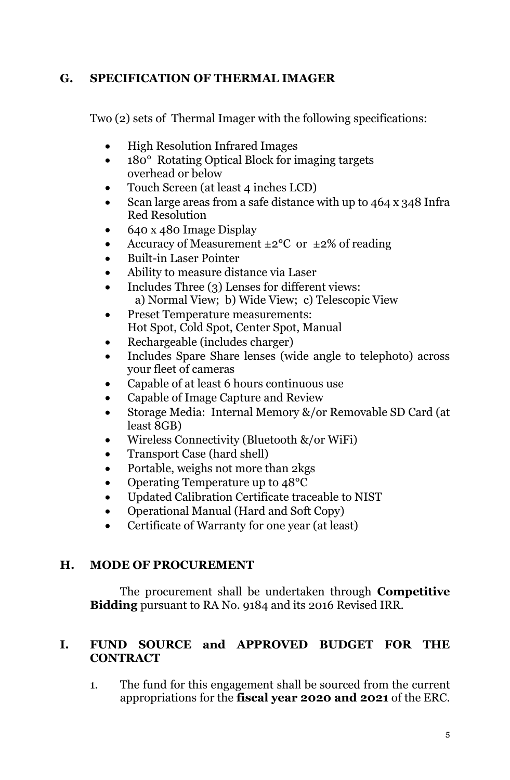# **G. SPECIFICATION OF THERMAL IMAGER**

Two (2) sets of Thermal Imager with the following specifications:

- High Resolution Infrared Images
- 180° Rotating Optical Block for imaging targets overhead or below
- Touch Screen (at least 4 inches LCD)
- Scan large areas from a safe distance with up to 464 x 348 Infra Red Resolution
- 640 x 480 Image Display
- Accuracy of Measurement  $\pm 2^{\circ}$ C or  $\pm 2\%$  of reading
- Built-in Laser Pointer
- Ability to measure distance via Laser
- Includes Three (3) Lenses for different views: a) Normal View; b) Wide View; c) Telescopic View
- Preset Temperature measurements: Hot Spot, Cold Spot, Center Spot, Manual
- Rechargeable (includes charger)
- Includes Spare Share lenses (wide angle to telephoto) across your fleet of cameras
- Capable of at least 6 hours continuous use
- Capable of Image Capture and Review
- Storage Media: Internal Memory &/or Removable SD Card (at least 8GB)
- Wireless Connectivity (Bluetooth &/or WiFi)
- Transport Case (hard shell)
- Portable, weighs not more than 2kgs
- Operating Temperature up to 48<sup>o</sup>C
- Updated Calibration Certificate traceable to NIST
- Operational Manual (Hard and Soft Copy)
- Certificate of Warranty for one year (at least)

# **H. MODE OF PROCUREMENT**

The procurement shall be undertaken through **Competitive Bidding** pursuant to RA No. 9184 and its 2016 Revised IRR.

## **I. FUND SOURCE and APPROVED BUDGET FOR THE CONTRACT**

1. The fund for this engagement shall be sourced from the current appropriations for the **fiscal year 2020 and 2021** of the ERC.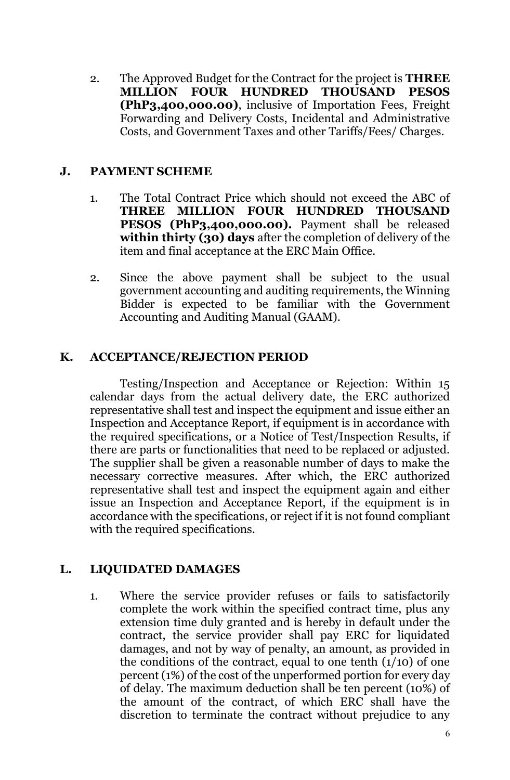2. The Approved Budget for the Contract for the project is **THREE MILLION FOUR HUNDRED THOUSAND PESOS (PhP3,400,000.00)**, inclusive of Importation Fees, Freight Forwarding and Delivery Costs, Incidental and Administrative Costs, and Government Taxes and other Tariffs/Fees/ Charges.

### **J. PAYMENT SCHEME**

- 1. The Total Contract Price which should not exceed the ABC of **THREE MILLION FOUR HUNDRED THOUSAND PESOS (PhP3,400,000.00).** Payment shall be released **within thirty (30) days** after the completion of delivery of the item and final acceptance at the ERC Main Office.
- 2. Since the above payment shall be subject to the usual government accounting and auditing requirements, the Winning Bidder is expected to be familiar with the Government Accounting and Auditing Manual (GAAM).

## **K. ACCEPTANCE/REJECTION PERIOD**

Testing/Inspection and Acceptance or Rejection: Within 15 calendar days from the actual delivery date, the ERC authorized representative shall test and inspect the equipment and issue either an Inspection and Acceptance Report, if equipment is in accordance with the required specifications, or a Notice of Test/Inspection Results, if there are parts or functionalities that need to be replaced or adjusted. The supplier shall be given a reasonable number of days to make the necessary corrective measures. After which, the ERC authorized representative shall test and inspect the equipment again and either issue an Inspection and Acceptance Report, if the equipment is in accordance with the specifications, or reject if it is not found compliant with the required specifications.

## **L. LIQUIDATED DAMAGES**

1. Where the service provider refuses or fails to satisfactorily complete the work within the specified contract time, plus any extension time duly granted and is hereby in default under the contract, the service provider shall pay ERC for liquidated damages, and not by way of penalty, an amount, as provided in the conditions of the contract, equal to one tenth  $(1/10)$  of one percent (1%) of the cost of the unperformed portion for every day of delay. The maximum deduction shall be ten percent (10%) of the amount of the contract, of which ERC shall have the discretion to terminate the contract without prejudice to any